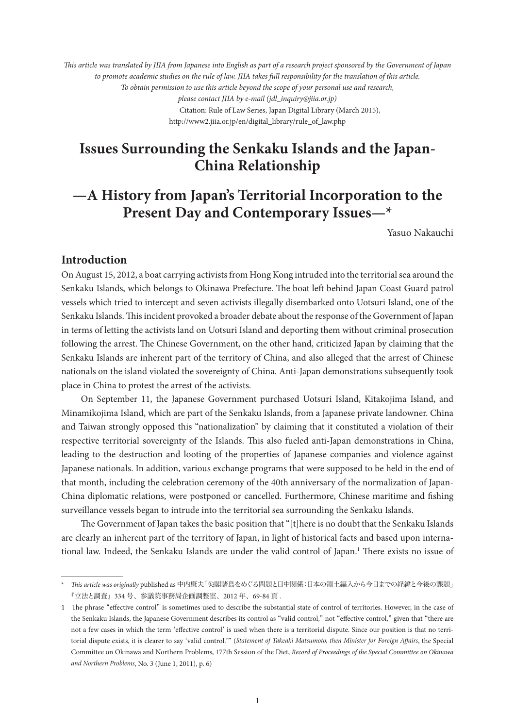*This article was translated by JIIA from Japanese into English as part of a research project sponsored by the Government of Japan to promote academic studies on the rule of law. JIIA takes full responsibility for the translation of this article. To obtain permission to use this article beyond the scope of your personal use and research, please contact JIIA by e-mail (jdl\_inquiry@jiia.or.jp)* Citation: Rule of Law Series, Japan Digital Library (March 2015), http://www2.jiia.or.jp/en/digital\_library/rule\_of\_law.php

# **Issues Surrounding the Senkaku Islands and the Japan-China Relationship**

# **—A History from Japan's Territorial Incorporation to the Present Day and Contemporary Issues—\***

Yasuo Nakauchi

# **Introduction**

On August 15, 2012, a boat carrying activists from Hong Kong intruded into the territorial sea around the Senkaku Islands, which belongs to Okinawa Prefecture. The boat left behind Japan Coast Guard patrol vessels which tried to intercept and seven activists illegally disembarked onto Uotsuri Island, one of the Senkaku Islands. This incident provoked a broader debate about the response of the Government of Japan in terms of letting the activists land on Uotsuri Island and deporting them without criminal prosecution following the arrest. The Chinese Government, on the other hand, criticized Japan by claiming that the Senkaku Islands are inherent part of the territory of China, and also alleged that the arrest of Chinese nationals on the island violated the sovereignty of China. Anti-Japan demonstrations subsequently took place in China to protest the arrest of the activists.

On September 11, the Japanese Government purchased Uotsuri Island, Kitakojima Island, and Minamikojima Island, which are part of the Senkaku Islands, from a Japanese private landowner. China and Taiwan strongly opposed this "nationalization" by claiming that it constituted a violation of their respective territorial sovereignty of the Islands. This also fueled anti-Japan demonstrations in China, leading to the destruction and looting of the properties of Japanese companies and violence against Japanese nationals. In addition, various exchange programs that were supposed to be held in the end of that month, including the celebration ceremony of the 40th anniversary of the normalization of Japan-China diplomatic relations, were postponed or cancelled. Furthermore, Chinese maritime and fishing surveillance vessels began to intrude into the territorial sea surrounding the Senkaku Islands.

The Government of Japan takes the basic position that "[t]here is no doubt that the Senkaku Islands are clearly an inherent part of the territory of Japan, in light of historical facts and based upon international law. Indeed, the Senkaku Islands are under the valid control of Japan.<sup>1</sup> There exists no issue of

<sup>\*</sup> *This article was originally* published as 中内康夫「尖閣諸島をめぐる問題と日中関係:日本の領土編入から今日までの経緯と今後の課題」 『立法と調査』334 号、参議院事務局企画調整室、2012 年、69-84 頁 .

<sup>1</sup> The phrase "effective control" is sometimes used to describe the substantial state of control of territories. However, in the case of the Senkaku Islands, the Japanese Government describes its control as "valid control," not "effective control," given that "there are not a few cases in which the term ʻeffective control' is used when there is a territorial dispute. Since our position is that no territorial dispute exists, it is clearer to say ʻvalid control.'" (*Statement of Takeaki Matsumoto, then Minister for Foreign Affairs*, the Special Committee on Okinawa and Northern Problems, 177th Session of the Diet, *Record of Proceedings of the Special Committee on Okinawa and Northern Problems*, No. 3 (June 1, 2011), p. 6)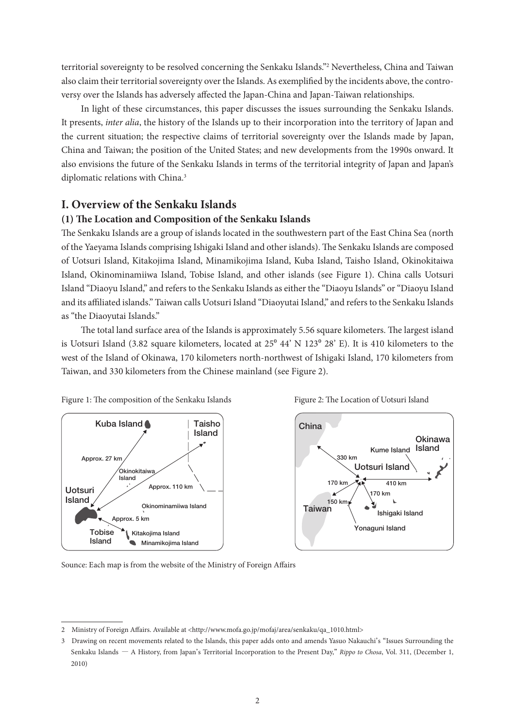territorial sovereignty to be resolved concerning the Senkaku Islands."2 Nevertheless, China and Taiwan also claim their territorial sovereignty over the Islands. As exemplified by the incidents above, the controversy over the Islands has adversely affected the Japan-China and Japan-Taiwan relationships.

In light of these circumstances, this paper discusses the issues surrounding the Senkaku Islands. It presents, *inter alia*, the history of the Islands up to their incorporation into the territory of Japan and the current situation; the respective claims of territorial sovereignty over the Islands made by Japan, China and Taiwan; the position of the United States; and new developments from the 1990s onward. It also envisions the future of the Senkaku Islands in terms of the territorial integrity of Japan and Japan's diplomatic relations with China.<sup>3</sup>

# **I. Overview of the Senkaku Islands**

### **(1) The Location and Composition of the Senkaku Islands**

The Senkaku Islands are a group of islands located in the southwestern part of the East China Sea (north of the Yaeyama Islands comprising Ishigaki Island and other islands). The Senkaku Islands are composed of Uotsuri Island, Kitakojima Island, Minamikojima Island, Kuba Island, Taisho Island, Okinokitaiwa Island, Okinominamiiwa Island, Tobise Island, and other islands (see Figure 1). China calls Uotsuri Island "Diaoyu Island," and refers to the Senkaku Islands as either the "Diaoyu Islands" or "Diaoyu Island and its affiliated islands." Taiwan calls Uotsuri Island "Diaoyutai Island," and refers to the Senkaku Islands as "the Diaoyutai Islands."

The total land surface area of the Islands is approximately 5.56 square kilometers. The largest island is Uotsuri Island (3.82 square kilometers, located at  $25^{\circ}$  44' N  $123^{\circ}$  28' E). It is 410 kilometers to the west of the Island of Okinawa, 170 kilometers north-northwest of Ishigaki Island, 170 kilometers from Taiwan, and 330 kilometers from the Chinese mainland (see Figure 2).







Sounce: Each map is from the website of the Ministry of Foreign Affairs

<sup>2</sup> Ministry of Foreign Affairs. Available at <http://www.mofa.go.jp/mofaj/area/senkaku/qa\_1010.html>

<sup>3</sup> Drawing on recent movements related to the Islands, this paper adds onto and amends Yasuo Nakauchi's "Issues Surrounding the Senkaku Islands ― A History, from Japan's Territorial Incorporation to the Present Day," *Rippo to Chosa*, Vol. 311, (December 1, 2010)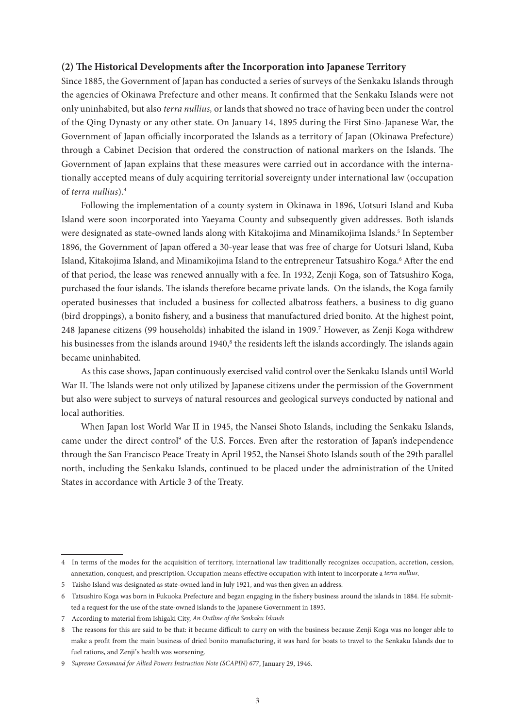## **(2) The Historical Developments after the Incorporation into Japanese Territory**

Since 1885, the Government of Japan has conducted a series of surveys of the Senkaku Islands through the agencies of Okinawa Prefecture and other means. It confirmed that the Senkaku Islands were not only uninhabited, but also *terra nullius,* or lands that showed no trace of having been under the control of the Qing Dynasty or any other state. On January 14, 1895 during the First Sino-Japanese War, the Government of Japan officially incorporated the Islands as a territory of Japan (Okinawa Prefecture) through a Cabinet Decision that ordered the construction of national markers on the Islands. The Government of Japan explains that these measures were carried out in accordance with the internationally accepted means of duly acquiring territorial sovereignty under international law (occupation of *terra nullius*).4

Following the implementation of a county system in Okinawa in 1896, Uotsuri Island and Kuba Island were soon incorporated into Yaeyama County and subsequently given addresses. Both islands were designated as state-owned lands along with Kitakojima and Minamikojima Islands.<sup>5</sup> In September 1896, the Government of Japan offered a 30-year lease that was free of charge for Uotsuri Island, Kuba Island, Kitakojima Island, and Minamikojima Island to the entrepreneur Tatsushiro Koga.<sup>6</sup> After the end of that period, the lease was renewed annually with a fee. In 1932, Zenji Koga, son of Tatsushiro Koga, purchased the four islands. The islands therefore became private lands. On the islands, the Koga family operated businesses that included a business for collected albatross feathers, a business to dig guano (bird droppings), a bonito fishery, and a business that manufactured dried bonito. At the highest point, 248 Japanese citizens (99 households) inhabited the island in 1909.<sup>7</sup> However, as Zenji Koga withdrew his businesses from the islands around 1940,<sup>8</sup> the residents left the islands accordingly. The islands again became uninhabited.

As this case shows, Japan continuously exercised valid control over the Senkaku Islands until World War II. The Islands were not only utilized by Japanese citizens under the permission of the Government but also were subject to surveys of natural resources and geological surveys conducted by national and local authorities.

When Japan lost World War II in 1945, the Nansei Shoto Islands, including the Senkaku Islands, came under the direct control<sup>9</sup> of the U.S. Forces. Even after the restoration of Japan's independence through the San Francisco Peace Treaty in April 1952, the Nansei Shoto Islands south of the 29th parallel north, including the Senkaku Islands, continued to be placed under the administration of the United States in accordance with Article 3 of the Treaty.

<sup>4</sup> In terms of the modes for the acquisition of territory, international law traditionally recognizes occupation, accretion, cession, annexation, conquest, and prescription. Occupation means effective occupation with intent to incorporate a *terra nullius*.

<sup>5</sup> Taisho Island was designated as state-owned land in July 1921, and was then given an address.

<sup>6</sup> Tatsushiro Koga was born in Fukuoka Prefecture and began engaging in the fishery business around the islands in 1884. He submitted a request for the use of the state-owned islands to the Japanese Government in 1895.

<sup>7</sup> According to material from Ishigaki City, *An Outline of the Senkaku Islands*

<sup>8</sup> The reasons for this are said to be that: it became difficult to carry on with the business because Zenji Koga was no longer able to make a profit from the main business of dried bonito manufacturing, it was hard for boats to travel to the Senkaku Islands due to fuel rations, and Zenji's health was worsening.

<sup>9</sup> *Supreme Command for Allied Powers Instruction Note (SCAPIN) 677*, January 29, 1946.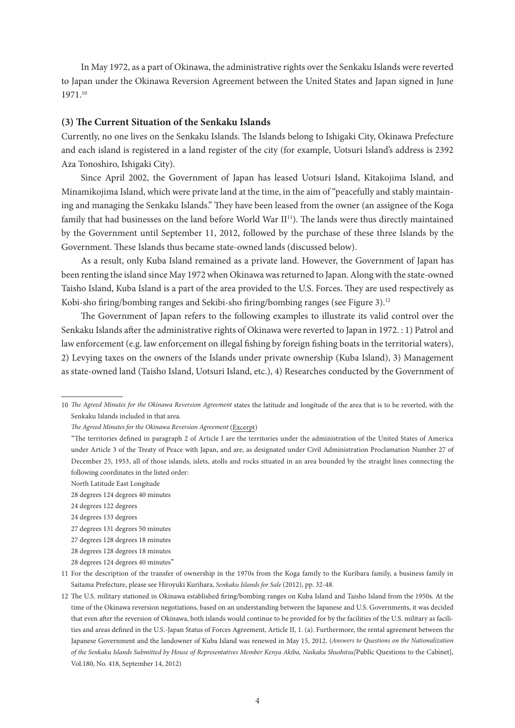In May 1972, as a part of Okinawa, the administrative rights over the Senkaku Islands were reverted to Japan under the Okinawa Reversion Agreement between the United States and Japan signed in June 1971.10

## **(3) The Current Situation of the Senkaku Islands**

Currently, no one lives on the Senkaku Islands. The Islands belong to Ishigaki City, Okinawa Prefecture and each island is registered in a land register of the city (for example, Uotsuri Island's address is 2392 Aza Tonoshiro, Ishigaki City).

Since April 2002, the Government of Japan has leased Uotsuri Island, Kitakojima Island, and Minamikojima Island, which were private land at the time, in the aim of "peacefully and stably maintaining and managing the Senkaku Islands." They have been leased from the owner (an assignee of the Koga family that had businesses on the land before World War II<sup>11</sup>). The lands were thus directly maintained by the Government until September 11, 2012, followed by the purchase of these three Islands by the Government. These Islands thus became state-owned lands (discussed below).

As a result, only Kuba Island remained as a private land. However, the Government of Japan has been renting the island since May 1972 when Okinawa was returned to Japan. Along with the state-owned Taisho Island, Kuba Island is a part of the area provided to the U.S. Forces. They are used respectively as Kobi-sho firing/bombing ranges and Sekibi-sho firing/bombing ranges (see Figure 3).<sup>12</sup>

The Government of Japan refers to the following examples to illustrate its valid control over the Senkaku Islands after the administrative rights of Okinawa were reverted to Japan in 1972. : 1) Patrol and law enforcement (e.g. law enforcement on illegal fishing by foreign fishing boats in the territorial waters), 2) Levying taxes on the owners of the Islands under private ownership (Kuba Island), 3) Management as state-owned land (Taisho Island, Uotsuri Island, etc.), 4) Researches conducted by the Government of

<sup>10</sup> *The Agreed Minutes for the Okinawa Reversion Agreement* states the latitude and longitude of the area that is to be reverted, with the Senkaku Islands included in that area.

*The Agreed Minutes for the Okinawa Reversion Agreement* (Excerpt)

<sup>&</sup>quot;The territories defined in paragraph 2 of Article I are the territories under the administration of the United States of America under Article 3 of the Treaty of Peace with Japan, and are, as designated under Civil Administration Proclamation Number 27 of December 25, 1953, all of those islands, islets, atolls and rocks situated in an area bounded by the straight lines connecting the following coordinates in the listed order:

North Latitude East Longitude

 <sup>28</sup> degrees 124 degrees 40 minutes

 <sup>24</sup> degrees 122 degrees

 <sup>24</sup> degrees 133 degrees

 <sup>27</sup> degrees 131 degrees 50 minutes

 <sup>27</sup> degrees 128 degrees 18 minutes

 <sup>28</sup> degrees 128 degrees 18 minutes

 <sup>28</sup> degrees 124 degrees 40 minutes"

<sup>11</sup> For the description of the transfer of ownership in the 1970s from the Koga family to the Kuribara family, a business family in Saitama Prefecture, please see Hiroyuki Kurihara, *Senkaku Islands for Sale* (2012), pp. 32-48.

<sup>12</sup> The U.S. military stationed in Okinawa established firing/bombing ranges on Kuba Island and Taisho Island from the 1950s. At the time of the Okinawa reversion negotiations, based on an understanding between the Japanese and U.S. Governments, it was decided that even after the reversion of Okinawa, both islands would continue to be provided for by the facilities of the U.S. military as facilities and areas defined in the U.S.-Japan Status of Forces Agreement, Article II, 1. (a). Furthermore, the rental agreement between the Japanese Government and the landowner of Kuba Island was renewed in May 15, 2012. (*Answers to Questions on the Nationalization of the Senkaku Islands Submitted by House of Representatives Member Kenya Akiba, Naikaku Shushitsu[*Public Questions to the Cabinet], Vol.180, No. 418, September 14, 2012)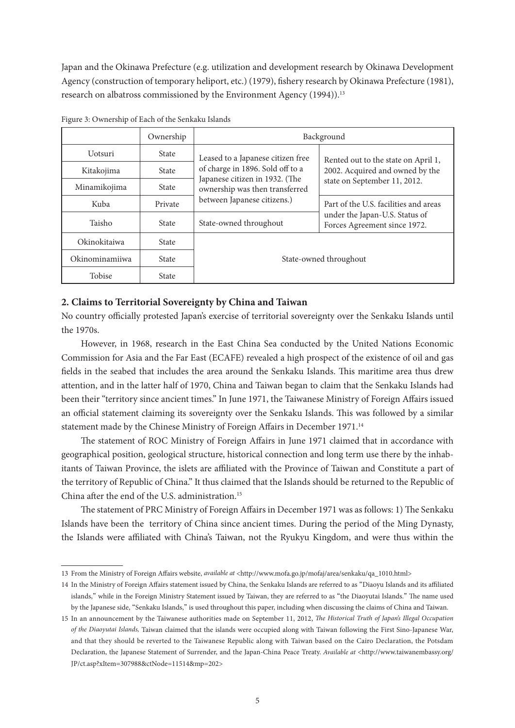Japan and the Okinawa Prefecture (e.g. utilization and development research by Okinawa Development Agency (construction of temporary heliport, etc.) (1979), fishery research by Okinawa Prefecture (1981), research on albatross commissioned by the Environment Agency (1994)).<sup>13</sup>

|                 | Ownership    | Background                                                                                      |                                                                                                         |  |
|-----------------|--------------|-------------------------------------------------------------------------------------------------|---------------------------------------------------------------------------------------------------------|--|
| <b>U</b> otsuri | <b>State</b> | Leased to a Japanese citizen free                                                               | Rented out to the state on April 1,                                                                     |  |
| Kitakojima      | <b>State</b> | of charge in 1896. Sold off to a                                                                | 2002. Acquired and owned by the<br>state on September 11, 2012.                                         |  |
| Minamikojima    | <b>State</b> | Japanese citizen in 1932. (The<br>ownership was then transferred<br>between Japanese citizens.) |                                                                                                         |  |
| Kuba            | Private      |                                                                                                 | Part of the U.S. facilities and areas<br>under the Japan-U.S. Status of<br>Forces Agreement since 1972. |  |
| Taisho          | State        | State-owned throughout                                                                          |                                                                                                         |  |
| Okinokitaiwa    | State        |                                                                                                 |                                                                                                         |  |
| Okinominamiiwa  | State        | State-owned throughout                                                                          |                                                                                                         |  |
| Tobise          | State        |                                                                                                 |                                                                                                         |  |

Figure 3: Ownership of Each of the Senkaku Islands

## **2. Claims to Territorial Sovereignty by China and Taiwan**

No country officially protested Japan's exercise of territorial sovereignty over the Senkaku Islands until the 1970s.

However, in 1968, research in the East China Sea conducted by the United Nations Economic Commission for Asia and the Far East (ECAFE) revealed a high prospect of the existence of oil and gas fields in the seabed that includes the area around the Senkaku Islands. This maritime area thus drew attention, and in the latter half of 1970, China and Taiwan began to claim that the Senkaku Islands had been their "territory since ancient times." In June 1971, the Taiwanese Ministry of Foreign Affairs issued an official statement claiming its sovereignty over the Senkaku Islands. This was followed by a similar statement made by the Chinese Ministry of Foreign Affairs in December 1971.<sup>14</sup>

The statement of ROC Ministry of Foreign Affairs in June 1971 claimed that in accordance with geographical position, geological structure, historical connection and long term use there by the inhabitants of Taiwan Province, the islets are affiliated with the Province of Taiwan and Constitute a part of the territory of Republic of China." It thus claimed that the Islands should be returned to the Republic of China after the end of the U.S. administration.<sup>15</sup>

The statement of PRC Ministry of Foreign Affairs in December 1971 was as follows: 1) The Senkaku Islands have been the territory of China since ancient times. During the period of the Ming Dynasty, the Islands were affiliated with China's Taiwan, not the Ryukyu Kingdom, and were thus within the

<sup>13</sup> From the Ministry of Foreign Affairs website, *available at* <http://www.mofa.go.jp/mofaj/area/senkaku/qa\_1010.html>

<sup>14</sup> In the Ministry of Foreign Affairs statement issued by China, the Senkaku Islands are referred to as "Diaoyu Islands and its affiliated islands," while in the Foreign Ministry Statement issued by Taiwan, they are referred to as "the Diaoyutai Islands." The name used by the Japanese side, "Senkaku Islands," is used throughout this paper, including when discussing the claims of China and Taiwan.

<sup>15</sup> In an announcement by the Taiwanese authorities made on September 11, 2012, *The Historical Truth of Japan's Illegal Occupation of the Diaoyutai Islands,* Taiwan claimed that the islands were occupied along with Taiwan following the First Sino-Japanese War, and that they should be reverted to the Taiwanese Republic along with Taiwan based on the Cairo Declaration, the Potsdam Declaration, the Japanese Statement of Surrender, and the Japan-China Peace Treaty. *Available at* <http://www.taiwanembassy.org/ JP/ct.asp?xItem=307988&ctNode=11514&mp=202>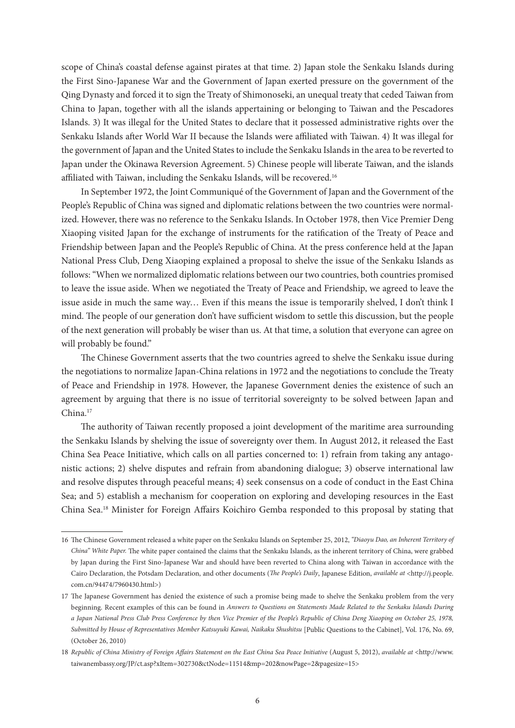scope of China's coastal defense against pirates at that time. 2) Japan stole the Senkaku Islands during the First Sino-Japanese War and the Government of Japan exerted pressure on the government of the Qing Dynasty and forced it to sign the Treaty of Shimonoseki, an unequal treaty that ceded Taiwan from China to Japan, together with all the islands appertaining or belonging to Taiwan and the Pescadores Islands. 3) It was illegal for the United States to declare that it possessed administrative rights over the Senkaku Islands after World War II because the Islands were affiliated with Taiwan. 4) It was illegal for the government of Japan and the United States to include the Senkaku Islands in the area to be reverted to Japan under the Okinawa Reversion Agreement. 5) Chinese people will liberate Taiwan, and the islands affiliated with Taiwan, including the Senkaku Islands, will be recovered.16

In September 1972, the Joint Communiqué of the Government of Japan and the Government of the People's Republic of China was signed and diplomatic relations between the two countries were normalized. However, there was no reference to the Senkaku Islands. In October 1978, then Vice Premier Deng Xiaoping visited Japan for the exchange of instruments for the ratification of the Treaty of Peace and Friendship between Japan and the People's Republic of China. At the press conference held at the Japan National Press Club, Deng Xiaoping explained a proposal to shelve the issue of the Senkaku Islands as follows: "When we normalized diplomatic relations between our two countries, both countries promised to leave the issue aside. When we negotiated the Treaty of Peace and Friendship, we agreed to leave the issue aside in much the same way… Even if this means the issue is temporarily shelved, I don't think I mind. The people of our generation don't have sufficient wisdom to settle this discussion, but the people of the next generation will probably be wiser than us. At that time, a solution that everyone can agree on will probably be found."

The Chinese Government asserts that the two countries agreed to shelve the Senkaku issue during the negotiations to normalize Japan-China relations in 1972 and the negotiations to conclude the Treaty of Peace and Friendship in 1978. However, the Japanese Government denies the existence of such an agreement by arguing that there is no issue of territorial sovereignty to be solved between Japan and China<sup>17</sup>

The authority of Taiwan recently proposed a joint development of the maritime area surrounding the Senkaku Islands by shelving the issue of sovereignty over them. In August 2012, it released the East China Sea Peace Initiative, which calls on all parties concerned to: 1) refrain from taking any antagonistic actions; 2) shelve disputes and refrain from abandoning dialogue; 3) observe international law and resolve disputes through peaceful means; 4) seek consensus on a code of conduct in the East China Sea; and 5) establish a mechanism for cooperation on exploring and developing resources in the East China Sea.18 Minister for Foreign Affairs Koichiro Gemba responded to this proposal by stating that

<sup>16</sup> The Chinese Government released a white paper on the Senkaku Islands on September 25, 2012, *"Diaoyu Dao, an Inherent Territory of China" White Paper.* The white paper contained the claims that the Senkaku Islands, as the inherent territory of China, were grabbed by Japan during the First Sino-Japanese War and should have been reverted to China along with Taiwan in accordance with the Cairo Declaration, the Potsdam Declaration, and other documents (*The People's Daily*, Japanese Edition, *available at* <http://j.people. com.cn/94474/7960430.html>)

<sup>17</sup> The Japanese Government has denied the existence of such a promise being made to shelve the Senkaku problem from the very beginning. Recent examples of this can be found in *Answers to Questions on Statements Made Related to the Senkaku Islands During a Japan National Press Club Press Conference by then Vice Premier of the People's Republic of China Deng Xiaoping on October 25, 1978, Submitted by House of Representatives Member Katsuyuki Kawai, Naikaku Shushitsu* [Public Questions to the Cabinet], Vol. 176, No. 69, (October 26, 2010)

<sup>18</sup> *Republic of China Ministry of Foreign Affairs Statement on the East China Sea Peace Initiative* (August 5, 2012), *available at* <http://www. taiwanembassy.org/JP/ct.asp?xItem=302730&ctNode=11514&mp=202&nowPage=2&pagesize=15>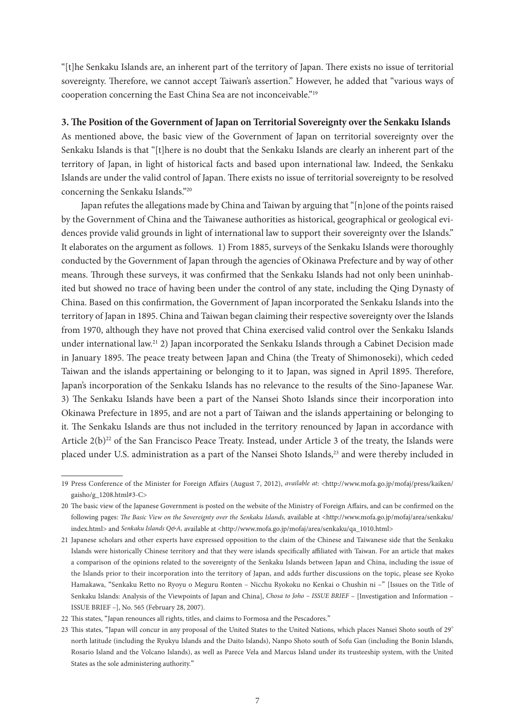"[t]he Senkaku Islands are, an inherent part of the territory of Japan. There exists no issue of territorial sovereignty. Therefore, we cannot accept Taiwan's assertion." However, he added that "various ways of cooperation concerning the East China Sea are not inconceivable."19

## **3. The Position of the Government of Japan on Territorial Sovereignty over the Senkaku Islands**

As mentioned above, the basic view of the Government of Japan on territorial sovereignty over the Senkaku Islands is that "[t]here is no doubt that the Senkaku Islands are clearly an inherent part of the territory of Japan, in light of historical facts and based upon international law. Indeed, the Senkaku Islands are under the valid control of Japan. There exists no issue of territorial sovereignty to be resolved concerning the Senkaku Islands."20

Japan refutes the allegations made by China and Taiwan by arguing that "[n]one of the points raised by the Government of China and the Taiwanese authorities as historical, geographical or geological evidences provide valid grounds in light of international law to support their sovereignty over the Islands." It elaborates on the argument as follows. 1) From 1885, surveys of the Senkaku Islands were thoroughly conducted by the Government of Japan through the agencies of Okinawa Prefecture and by way of other means. Through these surveys, it was confirmed that the Senkaku Islands had not only been uninhabited but showed no trace of having been under the control of any state, including the Qing Dynasty of China. Based on this confirmation, the Government of Japan incorporated the Senkaku Islands into the territory of Japan in 1895. China and Taiwan began claiming their respective sovereignty over the Islands from 1970, although they have not proved that China exercised valid control over the Senkaku Islands under international law.21 2) Japan incorporated the Senkaku Islands through a Cabinet Decision made in January 1895. The peace treaty between Japan and China (the Treaty of Shimonoseki), which ceded Taiwan and the islands appertaining or belonging to it to Japan, was signed in April 1895. Therefore, Japan's incorporation of the Senkaku Islands has no relevance to the results of the Sino-Japanese War. 3) The Senkaku Islands have been a part of the Nansei Shoto Islands since their incorporation into Okinawa Prefecture in 1895, and are not a part of Taiwan and the islands appertaining or belonging to it. The Senkaku Islands are thus not included in the territory renounced by Japan in accordance with Article  $2(b)^{22}$  of the San Francisco Peace Treaty. Instead, under Article 3 of the treaty, the Islands were placed under U.S. administration as a part of the Nansei Shoto Islands,<sup>23</sup> and were thereby included in

<sup>19</sup> Press Conference of the Minister for Foreign Affairs (August 7, 2012), *available at*: <http://www.mofa.go.jp/mofaj/press/kaiken/ gaisho/g\_1208.html#3-C>

<sup>20</sup> The basic view of the Japanese Government is posted on the website of the Ministry of Foreign Affairs, and can be confirmed on the following pages: *The Basic View on the Sovereignty over the Senkaku Islands,* available at <http://www.mofa.go.jp/mofaj/area/senkaku/ index.html> and *Senkaku Islands Q&A*, available at <http://www.mofa.go.jp/mofaj/area/senkaku/qa\_1010.html>

<sup>21</sup> Japanese scholars and other experts have expressed opposition to the claim of the Chinese and Taiwanese side that the Senkaku Islands were historically Chinese territory and that they were islands specifically affiliated with Taiwan. For an article that makes a comparison of the opinions related to the sovereignty of the Senkaku Islands between Japan and China, including the issue of the Islands prior to their incorporation into the territory of Japan, and adds further discussions on the topic, please see Kyoko Hamakawa, "Senkaku Retto no Ryoyu o Meguru Ronten – Nicchu Ryokoku no Kenkai o Chushin ni –" [Issues on the Title of Senkaku Islands: Analysis of the Viewpoints of Japan and China], *Chosa to Joho – ISSUE BRIEF* – [Investigation and Information – ISSUE BRIEF –], No. 565 (February 28, 2007).

<sup>22</sup> This states, "Japan renounces all rights, titles, and claims to Formosa and the Pescadores."

<sup>23</sup> This states, "Japan will concur in any proposal of the United States to the United Nations, which places Nansei Shoto south of 29° north latitude (including the Ryukyu Islands and the Daito Islands), Nanpo Shoto south of Sofu Gan (including the Bonin Islands, Rosario Island and the Volcano Islands), as well as Parece Vela and Marcus Island under its trusteeship system, with the United States as the sole administering authority."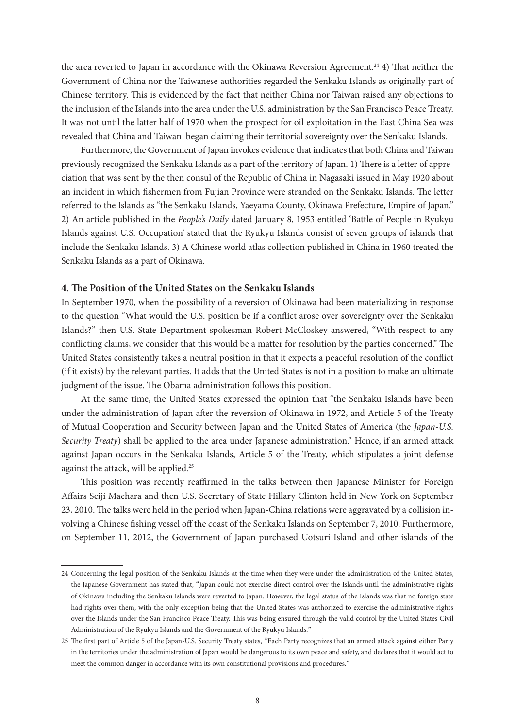the area reverted to Japan in accordance with the Okinawa Reversion Agreement.<sup>24</sup> 4) That neither the Government of China nor the Taiwanese authorities regarded the Senkaku Islands as originally part of Chinese territory. This is evidenced by the fact that neither China nor Taiwan raised any objections to the inclusion of the Islands into the area under the U.S. administration by the San Francisco Peace Treaty. It was not until the latter half of 1970 when the prospect for oil exploitation in the East China Sea was revealed that China and Taiwan began claiming their territorial sovereignty over the Senkaku Islands.

Furthermore, the Government of Japan invokes evidence that indicates that both China and Taiwan previously recognized the Senkaku Islands as a part of the territory of Japan. 1) There is a letter of appreciation that was sent by the then consul of the Republic of China in Nagasaki issued in May 1920 about an incident in which fishermen from Fujian Province were stranded on the Senkaku Islands. The letter referred to the Islands as "the Senkaku Islands, Yaeyama County, Okinawa Prefecture, Empire of Japan." 2) An article published in the *People's Daily* dated January 8, 1953 entitled 'Battle of People in Ryukyu Islands against U.S. Occupation' stated that the Ryukyu Islands consist of seven groups of islands that include the Senkaku Islands. 3) A Chinese world atlas collection published in China in 1960 treated the Senkaku Islands as a part of Okinawa.

## **4. The Position of the United States on the Senkaku Islands**

In September 1970, when the possibility of a reversion of Okinawa had been materializing in response to the question "What would the U.S. position be if a conflict arose over sovereignty over the Senkaku Islands?" then U.S. State Department spokesman Robert McCloskey answered, "With respect to any conflicting claims, we consider that this would be a matter for resolution by the parties concerned." The United States consistently takes a neutral position in that it expects a peaceful resolution of the conflict (if it exists) by the relevant parties. It adds that the United States is not in a position to make an ultimate judgment of the issue. The Obama administration follows this position.

At the same time, the United States expressed the opinion that "the Senkaku Islands have been under the administration of Japan after the reversion of Okinawa in 1972, and Article 5 of the Treaty of Mutual Cooperation and Security between Japan and the United States of America (the *Japan-U.S. Security Treaty*) shall be applied to the area under Japanese administration." Hence, if an armed attack against Japan occurs in the Senkaku Islands, Article 5 of the Treaty, which stipulates a joint defense against the attack, will be applied.25

This position was recently reaffirmed in the talks between then Japanese Minister for Foreign Affairs Seiji Maehara and then U.S. Secretary of State Hillary Clinton held in New York on September 23, 2010. The talks were held in the period when Japan-China relations were aggravated by a collision involving a Chinese fishing vessel off the coast of the Senkaku Islands on September 7, 2010. Furthermore, on September 11, 2012, the Government of Japan purchased Uotsuri Island and other islands of the

<sup>24</sup> Concerning the legal position of the Senkaku Islands at the time when they were under the administration of the United States, the Japanese Government has stated that, "Japan could not exercise direct control over the Islands until the administrative rights of Okinawa including the Senkaku Islands were reverted to Japan. However, the legal status of the Islands was that no foreign state had rights over them, with the only exception being that the United States was authorized to exercise the administrative rights over the Islands under the San Francisco Peace Treaty. This was being ensured through the valid control by the United States Civil Administration of the Ryukyu Islands and the Government of the Ryukyu Islands."

<sup>25</sup> The first part of Article 5 of the Japan-U.S. Security Treaty states, "Each Party recognizes that an armed attack against either Party in the territories under the administration of Japan would be dangerous to its own peace and safety, and declares that it would act to meet the common danger in accordance with its own constitutional provisions and procedures."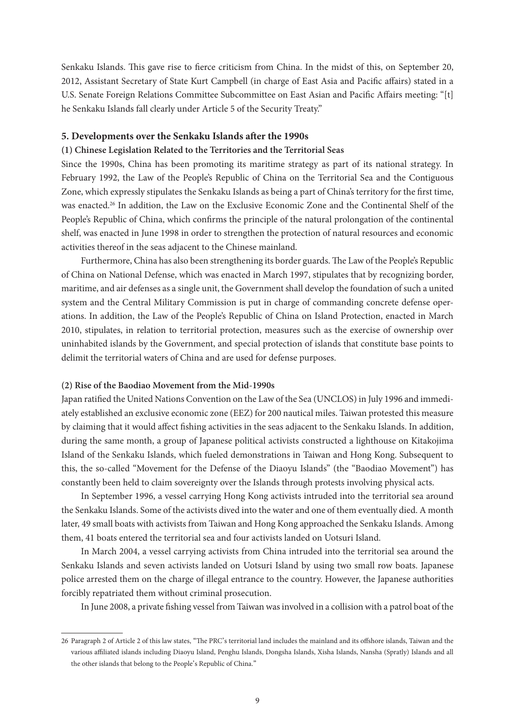Senkaku Islands. This gave rise to fierce criticism from China. In the midst of this, on September 20, 2012, Assistant Secretary of State Kurt Campbell (in charge of East Asia and Pacific affairs) stated in a U.S. Senate Foreign Relations Committee Subcommittee on East Asian and Pacific Affairs meeting: "[t] he Senkaku Islands fall clearly under Article 5 of the Security Treaty."

#### **5. Developments over the Senkaku Islands after the 1990s**

#### **(1) Chinese Legislation Related to the Territories and the Territorial Seas**

Since the 1990s, China has been promoting its maritime strategy as part of its national strategy. In February 1992, the Law of the People's Republic of China on the Territorial Sea and the Contiguous Zone, which expressly stipulates the Senkaku Islands as being a part of China's territory for the first time, was enacted.26 In addition, the Law on the Exclusive Economic Zone and the Continental Shelf of the People's Republic of China, which confirms the principle of the natural prolongation of the continental shelf, was enacted in June 1998 in order to strengthen the protection of natural resources and economic activities thereof in the seas adjacent to the Chinese mainland.

Furthermore, China has also been strengthening its border guards. The Law of the People's Republic of China on National Defense, which was enacted in March 1997, stipulates that by recognizing border, maritime, and air defenses as a single unit, the Government shall develop the foundation of such a united system and the Central Military Commission is put in charge of commanding concrete defense operations. In addition, the Law of the People's Republic of China on Island Protection, enacted in March 2010, stipulates, in relation to territorial protection, measures such as the exercise of ownership over uninhabited islands by the Government, and special protection of islands that constitute base points to delimit the territorial waters of China and are used for defense purposes.

#### **(2) Rise of the Baodiao Movement from the Mid-1990s**

Japan ratified the United Nations Convention on the Law of the Sea (UNCLOS) in July 1996 and immediately established an exclusive economic zone (EEZ) for 200 nautical miles. Taiwan protested this measure by claiming that it would affect fishing activities in the seas adjacent to the Senkaku Islands. In addition, during the same month, a group of Japanese political activists constructed a lighthouse on Kitakojima Island of the Senkaku Islands, which fueled demonstrations in Taiwan and Hong Kong. Subsequent to this, the so-called "Movement for the Defense of the Diaoyu Islands" (the "Baodiao Movement") has constantly been held to claim sovereignty over the Islands through protests involving physical acts.

In September 1996, a vessel carrying Hong Kong activists intruded into the territorial sea around the Senkaku Islands. Some of the activists dived into the water and one of them eventually died. A month later, 49 small boats with activists from Taiwan and Hong Kong approached the Senkaku Islands. Among them, 41 boats entered the territorial sea and four activists landed on Uotsuri Island.

In March 2004, a vessel carrying activists from China intruded into the territorial sea around the Senkaku Islands and seven activists landed on Uotsuri Island by using two small row boats. Japanese police arrested them on the charge of illegal entrance to the country. However, the Japanese authorities forcibly repatriated them without criminal prosecution.

In June 2008, a private fishing vessel from Taiwan was involved in a collision with a patrol boat of the

<sup>26</sup> Paragraph 2 of Article 2 of this law states, "The PRC's territorial land includes the mainland and its offshore islands, Taiwan and the various affiliated islands including Diaoyu Island, Penghu Islands, Dongsha Islands, Xisha Islands, Nansha (Spratly) Islands and all the other islands that belong to the People's Republic of China."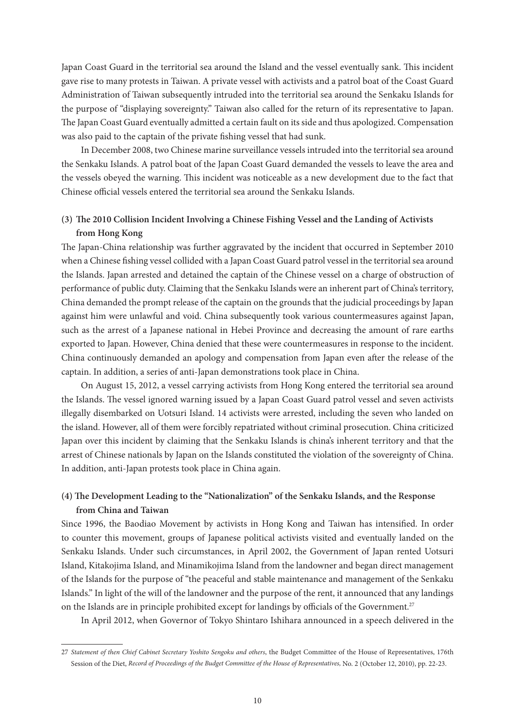Japan Coast Guard in the territorial sea around the Island and the vessel eventually sank. This incident gave rise to many protests in Taiwan. A private vessel with activists and a patrol boat of the Coast Guard Administration of Taiwan subsequently intruded into the territorial sea around the Senkaku Islands for the purpose of "displaying sovereignty." Taiwan also called for the return of its representative to Japan. The Japan Coast Guard eventually admitted a certain fault on its side and thus apologized. Compensation was also paid to the captain of the private fishing vessel that had sunk.

In December 2008, two Chinese marine surveillance vessels intruded into the territorial sea around the Senkaku Islands. A patrol boat of the Japan Coast Guard demanded the vessels to leave the area and the vessels obeyed the warning. This incident was noticeable as a new development due to the fact that Chinese official vessels entered the territorial sea around the Senkaku Islands.

# **(3) The 2010 Collision Incident Involving a Chinese Fishing Vessel and the Landing of Activists from Hong Kong**

The Japan-China relationship was further aggravated by the incident that occurred in September 2010 when a Chinese fishing vessel collided with a Japan Coast Guard patrol vessel in the territorial sea around the Islands. Japan arrested and detained the captain of the Chinese vessel on a charge of obstruction of performance of public duty. Claiming that the Senkaku Islands were an inherent part of China's territory, China demanded the prompt release of the captain on the grounds that the judicial proceedings by Japan against him were unlawful and void. China subsequently took various countermeasures against Japan, such as the arrest of a Japanese national in Hebei Province and decreasing the amount of rare earths exported to Japan. However, China denied that these were countermeasures in response to the incident. China continuously demanded an apology and compensation from Japan even after the release of the captain. In addition, a series of anti-Japan demonstrations took place in China.

On August 15, 2012, a vessel carrying activists from Hong Kong entered the territorial sea around the Islands. The vessel ignored warning issued by a Japan Coast Guard patrol vessel and seven activists illegally disembarked on Uotsuri Island. 14 activists were arrested, including the seven who landed on the island. However, all of them were forcibly repatriated without criminal prosecution. China criticized Japan over this incident by claiming that the Senkaku Islands is china's inherent territory and that the arrest of Chinese nationals by Japan on the Islands constituted the violation of the sovereignty of China. In addition, anti-Japan protests took place in China again.

# **(4) The Development Leading to the "Nationalization" of the Senkaku Islands, and the Response from China and Taiwan**

Since 1996, the Baodiao Movement by activists in Hong Kong and Taiwan has intensified. In order to counter this movement, groups of Japanese political activists visited and eventually landed on the Senkaku Islands. Under such circumstances, in April 2002, the Government of Japan rented Uotsuri Island, Kitakojima Island, and Minamikojima Island from the landowner and began direct management of the Islands for the purpose of "the peaceful and stable maintenance and management of the Senkaku Islands." In light of the will of the landowner and the purpose of the rent, it announced that any landings on the Islands are in principle prohibited except for landings by officials of the Government.<sup>27</sup>

In April 2012, when Governor of Tokyo Shintaro Ishihara announced in a speech delivered in the

<sup>27</sup> *Statement of then Chief Cabinet Secretary Yoshito Sengoku and others*, the Budget Committee of the House of Representatives, 176th Session of the Diet, *Record of Proceedings of the Budget Committee of the House of Representatives,* No. 2 (October 12, 2010), pp. 22-23.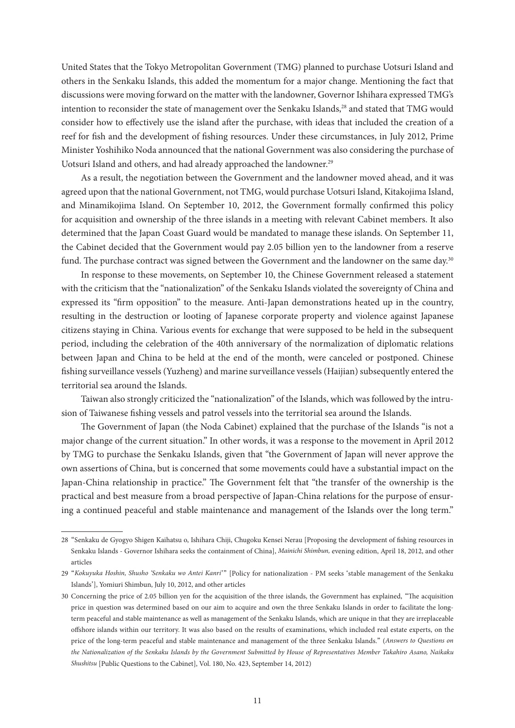United States that the Tokyo Metropolitan Government (TMG) planned to purchase Uotsuri Island and others in the Senkaku Islands, this added the momentum for a major change. Mentioning the fact that discussions were moving forward on the matter with the landowner, Governor Ishihara expressed TMG's intention to reconsider the state of management over the Senkaku Islands,<sup>28</sup> and stated that TMG would consider how to effectively use the island after the purchase, with ideas that included the creation of a reef for fish and the development of fishing resources. Under these circumstances, in July 2012, Prime Minister Yoshihiko Noda announced that the national Government was also considering the purchase of Uotsuri Island and others, and had already approached the landowner.<sup>29</sup>

As a result, the negotiation between the Government and the landowner moved ahead, and it was agreed upon that the national Government, not TMG, would purchase Uotsuri Island, Kitakojima Island, and Minamikojima Island. On September 10, 2012, the Government formally confirmed this policy for acquisition and ownership of the three islands in a meeting with relevant Cabinet members. It also determined that the Japan Coast Guard would be mandated to manage these islands. On September 11, the Cabinet decided that the Government would pay 2.05 billion yen to the landowner from a reserve fund. The purchase contract was signed between the Government and the landowner on the same day.<sup>30</sup>

In response to these movements, on September 10, the Chinese Government released a statement with the criticism that the "nationalization" of the Senkaku Islands violated the sovereignty of China and expressed its "firm opposition" to the measure. Anti-Japan demonstrations heated up in the country, resulting in the destruction or looting of Japanese corporate property and violence against Japanese citizens staying in China. Various events for exchange that were supposed to be held in the subsequent period, including the celebration of the 40th anniversary of the normalization of diplomatic relations between Japan and China to be held at the end of the month, were canceled or postponed. Chinese fishing surveillance vessels (Yuzheng) and marine surveillance vessels (Haijian) subsequently entered the territorial sea around the Islands.

Taiwan also strongly criticized the "nationalization" of the Islands, which was followed by the intrusion of Taiwanese fishing vessels and patrol vessels into the territorial sea around the Islands.

The Government of Japan (the Noda Cabinet) explained that the purchase of the Islands "is not a major change of the current situation." In other words, it was a response to the movement in April 2012 by TMG to purchase the Senkaku Islands, given that "the Government of Japan will never approve the own assertions of China, but is concerned that some movements could have a substantial impact on the Japan-China relationship in practice." The Government felt that "the transfer of the ownership is the practical and best measure from a broad perspective of Japan-China relations for the purpose of ensuring a continued peaceful and stable maintenance and management of the Islands over the long term."

<sup>28</sup> "Senkaku de Gyogyo Shigen Kaihatsu o, Ishihara Chiji, Chugoku Kensei Nerau [Proposing the development of fishing resources in Senkaku Islands - Governor Ishihara seeks the containment of China], *Mainichi Shimbun,* evening edition, April 18, 2012, and other articles

<sup>29</sup> "*Kokuyuka Hoshin, Shusho 'Senkaku wo Antei Kanri*'" [Policy for nationalization - PM seeks ʻstable management of the Senkaku Islands'], Yomiuri Shimbun, July 10, 2012, and other articles

<sup>30</sup> Concerning the price of 2.05 billion yen for the acquisition of the three islands, the Government has explained, "The acquisition price in question was determined based on our aim to acquire and own the three Senkaku Islands in order to facilitate the longterm peaceful and stable maintenance as well as management of the Senkaku Islands, which are unique in that they are irreplaceable offshore islands within our territory. It was also based on the results of examinations, which included real estate experts, on the price of the long-term peaceful and stable maintenance and management of the three Senkaku Islands." (*Answers to Questions on the Nationalization of the Senkaku Islands by the Government Submitted by House of Representatives Member Takahiro Asano, Naikaku Shushitsu* [Public Questions to the Cabinet], Vol. 180, No. 423, September 14, 2012)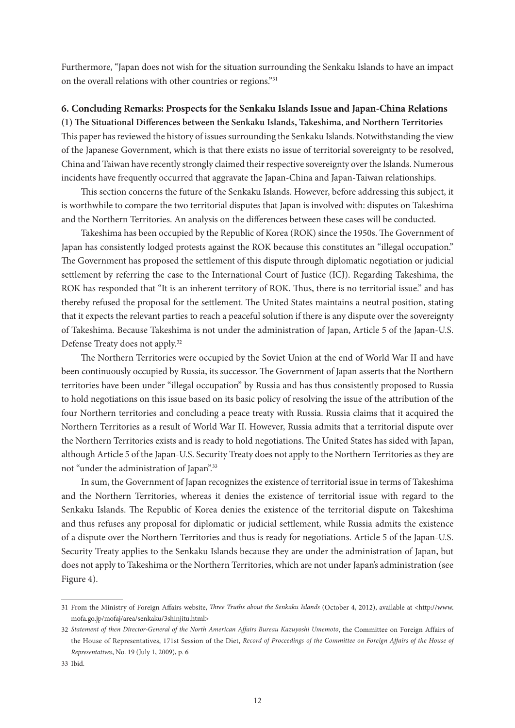Furthermore, "Japan does not wish for the situation surrounding the Senkaku Islands to have an impact on the overall relations with other countries or regions."31

# **6. Concluding Remarks: Prospects for the Senkaku Islands Issue and Japan-China Relations**

**(1) The Situational Differences between the Senkaku Islands, Takeshima, and Northern Territories**  This paper has reviewed the history of issues surrounding the Senkaku Islands. Notwithstanding the view of the Japanese Government, which is that there exists no issue of territorial sovereignty to be resolved, China and Taiwan have recently strongly claimed their respective sovereignty over the Islands. Numerous incidents have frequently occurred that aggravate the Japan-China and Japan-Taiwan relationships.

This section concerns the future of the Senkaku Islands. However, before addressing this subject, it is worthwhile to compare the two territorial disputes that Japan is involved with: disputes on Takeshima and the Northern Territories. An analysis on the differences between these cases will be conducted.

Takeshima has been occupied by the Republic of Korea (ROK) since the 1950s. The Government of Japan has consistently lodged protests against the ROK because this constitutes an "illegal occupation." The Government has proposed the settlement of this dispute through diplomatic negotiation or judicial settlement by referring the case to the International Court of Justice (ICJ). Regarding Takeshima, the ROK has responded that "It is an inherent territory of ROK. Thus, there is no territorial issue." and has thereby refused the proposal for the settlement. The United States maintains a neutral position, stating that it expects the relevant parties to reach a peaceful solution if there is any dispute over the sovereignty of Takeshima. Because Takeshima is not under the administration of Japan, Article 5 of the Japan-U.S. Defense Treaty does not apply.32

The Northern Territories were occupied by the Soviet Union at the end of World War II and have been continuously occupied by Russia, its successor. The Government of Japan asserts that the Northern territories have been under "illegal occupation" by Russia and has thus consistently proposed to Russia to hold negotiations on this issue based on its basic policy of resolving the issue of the attribution of the four Northern territories and concluding a peace treaty with Russia. Russia claims that it acquired the Northern Territories as a result of World War II. However, Russia admits that a territorial dispute over the Northern Territories exists and is ready to hold negotiations. The United States has sided with Japan, although Article 5 of the Japan-U.S. Security Treaty does not apply to the Northern Territories as they are not "under the administration of Japan".33

In sum, the Government of Japan recognizes the existence of territorial issue in terms of Takeshima and the Northern Territories, whereas it denies the existence of territorial issue with regard to the Senkaku Islands. The Republic of Korea denies the existence of the territorial dispute on Takeshima and thus refuses any proposal for diplomatic or judicial settlement, while Russia admits the existence of a dispute over the Northern Territories and thus is ready for negotiations. Article 5 of the Japan-U.S. Security Treaty applies to the Senkaku Islands because they are under the administration of Japan, but does not apply to Takeshima or the Northern Territories, which are not under Japan's administration (see Figure 4).

<sup>31</sup> From the Ministry of Foreign Affairs website, *Three Truths about the Senkaku Islands* (October 4, 2012), available at <http://www. mofa.go.jp/mofaj/area/senkaku/3shinjitu.html>

<sup>32</sup> *Statement of then Director-General of the North American Affairs Bureau Kazuyoshi Umemoto*, the Committee on Foreign Affairs of the House of Representatives, 171st Session of the Diet, *Record of Proceedings of the Committee on Foreign Affairs of the House of Representatives*, No. 19 (July 1, 2009), p. 6

<sup>33</sup> Ibid.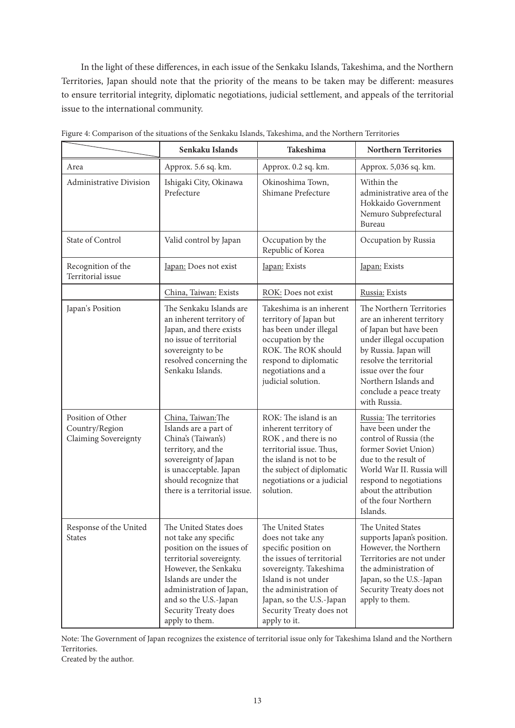In the light of these differences, in each issue of the Senkaku Islands, Takeshima, and the Northern Territories, Japan should note that the priority of the means to be taken may be different: measures to ensure territorial integrity, diplomatic negotiations, judicial settlement, and appeals of the territorial issue to the international community.

|                                                             | Senkaku Islands                                                                                                                                                                                                                                          | Takeshima                                                                                                                                                                                                                                     | <b>Northern Territories</b>                                                                                                                                                                                                                               |
|-------------------------------------------------------------|----------------------------------------------------------------------------------------------------------------------------------------------------------------------------------------------------------------------------------------------------------|-----------------------------------------------------------------------------------------------------------------------------------------------------------------------------------------------------------------------------------------------|-----------------------------------------------------------------------------------------------------------------------------------------------------------------------------------------------------------------------------------------------------------|
| Area                                                        | Approx. 5.6 sq. km.                                                                                                                                                                                                                                      | Approx. 0.2 sq. km.                                                                                                                                                                                                                           | Approx. 5,036 sq. km.                                                                                                                                                                                                                                     |
| Administrative Division                                     | Ishigaki City, Okinawa<br>Prefecture                                                                                                                                                                                                                     | Okinoshima Town,<br>Shimane Prefecture                                                                                                                                                                                                        | Within the<br>administrative area of the<br>Hokkaido Government<br>Nemuro Subprefectural<br>Bureau                                                                                                                                                        |
| State of Control                                            | Valid control by Japan                                                                                                                                                                                                                                   | Occupation by the<br>Republic of Korea                                                                                                                                                                                                        | Occupation by Russia                                                                                                                                                                                                                                      |
| Recognition of the<br>Territorial issue                     | Japan: Does not exist                                                                                                                                                                                                                                    | Japan: Exists                                                                                                                                                                                                                                 | Japan: Exists                                                                                                                                                                                                                                             |
|                                                             | China, Taiwan: Exists                                                                                                                                                                                                                                    | ROK: Does not exist                                                                                                                                                                                                                           | Russia: Exists                                                                                                                                                                                                                                            |
| Japan's Position                                            | The Senkaku Islands are<br>an inherent territory of<br>Japan, and there exists<br>no issue of territorial<br>sovereignty to be<br>resolved concerning the<br>Senkaku Islands.                                                                            | Takeshima is an inherent<br>territory of Japan but<br>has been under illegal<br>occupation by the<br>ROK. The ROK should<br>respond to diplomatic<br>negotiations and a<br>judicial solution.                                                 | The Northern Territories<br>are an inherent territory<br>of Japan but have been<br>under illegal occupation<br>by Russia. Japan will<br>resolve the territorial<br>issue over the four<br>Northern Islands and<br>conclude a peace treaty<br>with Russia. |
| Position of Other<br>Country/Region<br>Claiming Sovereignty | China, Taiwan: The<br>Islands are a part of<br>China's (Taiwan's)<br>territory, and the<br>sovereignty of Japan<br>is unacceptable. Japan<br>should recognize that<br>there is a territorial issue.                                                      | ROK: The island is an<br>inherent territory of<br>ROK, and there is no<br>territorial issue. Thus,<br>the island is not to be<br>the subject of diplomatic<br>negotiations or a judicial<br>solution.                                         | Russia: The territories<br>have been under the<br>control of Russia (the<br>former Soviet Union)<br>due to the result of<br>World War II. Russia will<br>respond to negotiations<br>about the attribution<br>of the four Northern<br>Islands.             |
| Response of the United<br><b>States</b>                     | The United States does<br>not take any specific<br>position on the issues of<br>territorial sovereignty.<br>However, the Senkaku<br>Islands are under the<br>administration of Japan,<br>and so the U.S.-Japan<br>Security Treaty does<br>apply to them. | The United States<br>does not take any<br>specific position on<br>the issues of territorial<br>sovereignty. Takeshima<br>Island is not under<br>the administration of<br>Japan, so the U.S.-Japan<br>Security Treaty does not<br>apply to it. | The United States<br>supports Japan's position.<br>However, the Northern<br>Territories are not under<br>the administration of<br>Japan, so the U.S.-Japan<br>Security Treaty does not<br>apply to them.                                                  |

Figure 4: Comparison of the situations of the Senkaku Islands, Takeshima, and the Northern Territories

Note: The Government of Japan recognizes the existence of territorial issue only for Takeshima Island and the Northern Territories.

Created by the author.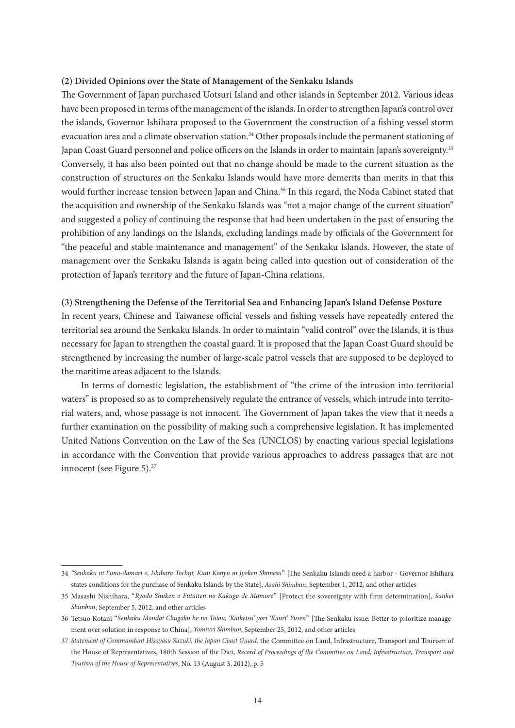#### **(2) Divided Opinions over the State of Management of the Senkaku Islands**

The Government of Japan purchased Uotsuri Island and other islands in September 2012. Various ideas have been proposed in terms of the management of the islands. In order to strengthen Japan's control over the islands, Governor Ishihara proposed to the Government the construction of a fishing vessel storm evacuation area and a climate observation station.<sup>34</sup> Other proposals include the permanent stationing of Japan Coast Guard personnel and police officers on the Islands in order to maintain Japan's sovereignty.<sup>35</sup> Conversely, it has also been pointed out that no change should be made to the current situation as the construction of structures on the Senkaku Islands would have more demerits than merits in that this would further increase tension between Japan and China.<sup>36</sup> In this regard, the Noda Cabinet stated that the acquisition and ownership of the Senkaku Islands was "not a major change of the current situation" and suggested a policy of continuing the response that had been undertaken in the past of ensuring the prohibition of any landings on the Islands, excluding landings made by officials of the Government for "the peaceful and stable maintenance and management" of the Senkaku Islands. However, the state of management over the Senkaku Islands is again being called into question out of consideration of the protection of Japan's territory and the future of Japan-China relations.

#### **(3) Strengthening the Defense of the Territorial Sea and Enhancing Japan's Island Defense Posture**

In recent years, Chinese and Taiwanese official vessels and fishing vessels have repeatedly entered the territorial sea around the Senkaku Islands. In order to maintain "valid control" over the Islands, it is thus necessary for Japan to strengthen the coastal guard. It is proposed that the Japan Coast Guard should be strengthened by increasing the number of large-scale patrol vessels that are supposed to be deployed to the maritime areas adjacent to the Islands.

In terms of domestic legislation, the establishment of "the crime of the intrusion into territorial waters" is proposed so as to comprehensively regulate the entrance of vessels, which intrude into territorial waters, and, whose passage is not innocent. The Government of Japan takes the view that it needs a further examination on the possibility of making such a comprehensive legislation. It has implemented United Nations Convention on the Law of the Sea (UNCLOS) by enacting various special legislations in accordance with the Convention that provide various approaches to address passages that are not innocent (see Figure 5).<sup>37</sup>

<sup>34</sup> *"Senkaku ni Funa-damari o, Ishihara Tochiji, Kuni Konyu ni Jyoken Shimesu*" [The Senkaku Islands need a harbor - Governor Ishihara states conditions for the purchase of Senkaku Islands by the State], *Asahi Shimbun*, September 1, 2012, and other articles

<sup>35</sup> Masashi Nishihara, "*Ryodo Shuken o Futaiten no Kakugo de Mamore*" [Protect the sovereignty with firm determination], *Sankei Shimbun*, September 5, 2012, and other articles

<sup>36</sup> Tetsuo Kotani "*Senkaku Mondai Chugoku he no Taiou, 'Kaiketsu' yori 'Kanri' Yusen*" [The Senkaku issue: Better to prioritize management over solution in response to China], *Yomiuri Shimbun*, September 25, 2012, and other articles

<sup>37</sup> *Statement of Commandant Hisayasu Suzuki, the Japan Coast Guard,* the Committee on Land, Infrastructure, Transport and Tourism of the House of Representatives, 180th Session of the Diet, *Record of Proceedings of the Committee on Land, Infrastructure, Transport and Tourism of the House of Representatives*, No. 13 (August 3, 2012), p. 5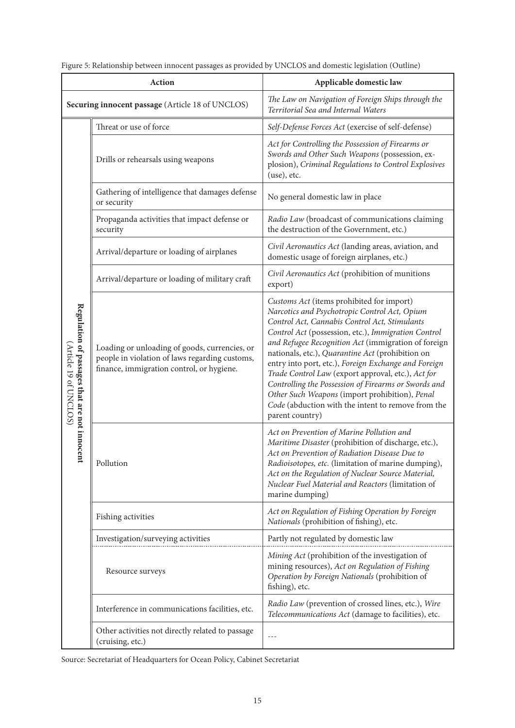| Action                                                                 |                                                                                                                                              | Applicable domestic law                                                                                                                                                                                                                                                                                                                                                                                                                                                                                                                                                                                        |  |
|------------------------------------------------------------------------|----------------------------------------------------------------------------------------------------------------------------------------------|----------------------------------------------------------------------------------------------------------------------------------------------------------------------------------------------------------------------------------------------------------------------------------------------------------------------------------------------------------------------------------------------------------------------------------------------------------------------------------------------------------------------------------------------------------------------------------------------------------------|--|
| Securing innocent passage (Article 18 of UNCLOS)                       |                                                                                                                                              | The Law on Navigation of Foreign Ships through the<br>Territorial Sea and Internal Waters                                                                                                                                                                                                                                                                                                                                                                                                                                                                                                                      |  |
|                                                                        | Threat or use of force                                                                                                                       | Self-Defense Forces Act (exercise of self-defense)                                                                                                                                                                                                                                                                                                                                                                                                                                                                                                                                                             |  |
|                                                                        | Drills or rehearsals using weapons                                                                                                           | Act for Controlling the Possession of Firearms or<br>Swords and Other Such Weapons (possession, ex-<br>plosion), Criminal Regulations to Control Explosives<br>(use), etc.                                                                                                                                                                                                                                                                                                                                                                                                                                     |  |
|                                                                        | Gathering of intelligence that damages defense<br>or security                                                                                | No general domestic law in place                                                                                                                                                                                                                                                                                                                                                                                                                                                                                                                                                                               |  |
|                                                                        | Propaganda activities that impact defense or<br>security                                                                                     | Radio Law (broadcast of communications claiming<br>the destruction of the Government, etc.)                                                                                                                                                                                                                                                                                                                                                                                                                                                                                                                    |  |
|                                                                        | Arrival/departure or loading of airplanes                                                                                                    | Civil Aeronautics Act (landing areas, aviation, and<br>domestic usage of foreign airplanes, etc.)                                                                                                                                                                                                                                                                                                                                                                                                                                                                                                              |  |
| Regulation of passages that are not innocent<br>(Article 19 of UNCLOS) | Arrival/departure or loading of military craft                                                                                               | Civil Aeronautics Act (prohibition of munitions<br>export)                                                                                                                                                                                                                                                                                                                                                                                                                                                                                                                                                     |  |
|                                                                        | Loading or unloading of goods, currencies, or<br>people in violation of laws regarding customs,<br>finance, immigration control, or hygiene. | Customs Act (items prohibited for import)<br>Narcotics and Psychotropic Control Act, Opium<br>Control Act, Cannabis Control Act, Stimulants<br>Control Act (possession, etc.), Immigration Control<br>and Refugee Recognition Act (immigration of foreign<br>nationals, etc.), Quarantine Act (prohibition on<br>entry into port, etc.), Foreign Exchange and Foreign<br>Trade Control Law (export approval, etc.), Act for<br>Controlling the Possession of Firearms or Swords and<br>Other Such Weapons (import prohibition), Penal<br>Code (abduction with the intent to remove from the<br>parent country) |  |
|                                                                        | Pollution                                                                                                                                    | Act on Prevention of Marine Pollution and<br>Maritime Disaster (prohibition of discharge, etc.),<br>Act on Prevention of Radiation Disease Due to<br>Radioisotopes, etc. (limitation of marine dumping),<br>Act on the Regulation of Nuclear Source Material,<br>Nuclear Fuel Material and Reactors (limitation of<br>marine dumping)                                                                                                                                                                                                                                                                          |  |
|                                                                        | Fishing activities                                                                                                                           | Act on Regulation of Fishing Operation by Foreign<br>Nationals (prohibition of fishing), etc.                                                                                                                                                                                                                                                                                                                                                                                                                                                                                                                  |  |
|                                                                        | Investigation/surveying activities                                                                                                           | Partly not regulated by domestic law                                                                                                                                                                                                                                                                                                                                                                                                                                                                                                                                                                           |  |
|                                                                        | Resource surveys                                                                                                                             | Mining Act (prohibition of the investigation of<br>mining resources), Act on Regulation of Fishing<br>Operation by Foreign Nationals (prohibition of<br>fishing), etc.                                                                                                                                                                                                                                                                                                                                                                                                                                         |  |
|                                                                        | Interference in communications facilities, etc.                                                                                              | Radio Law (prevention of crossed lines, etc.), Wire<br>Telecommunications Act (damage to facilities), etc.                                                                                                                                                                                                                                                                                                                                                                                                                                                                                                     |  |
|                                                                        | Other activities not directly related to passage<br>(cruising, etc.)                                                                         | $---$                                                                                                                                                                                                                                                                                                                                                                                                                                                                                                                                                                                                          |  |

Figure 5: Relationship between innocent passages as provided by UNCLOS and domestic legislation (Outline)

Source: Secretariat of Headquarters for Ocean Policy, Cabinet Secretariat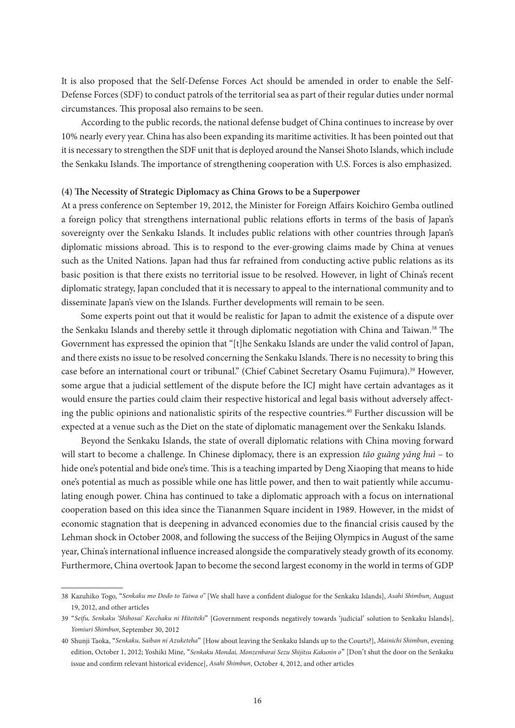It is also proposed that the Self-Defense Forces Act should be amended in order to enable the Self-Defense Forces (SDF) to conduct patrols of the territorial sea as part of their regular duties under normal circumstances. This proposal also remains to be seen.

According to the public records, the national defense budget of China continues to increase by over 10% nearly every year. China has also been expanding its maritime activities. It has been pointed out that it is necessary to strengthen the SDF unit that is deployed around the Nansei Shoto Islands, which include the Senkaku Islands. The importance of strengthening cooperation with U.S. Forces is also emphasized.

#### **(4) The Necessity of Strategic Diplomacy as China Grows to be a Superpower**

At a press conference on September 19, 2012, the Minister for Foreign Affairs Koichiro Gemba outlined a foreign policy that strengthens international public relations efforts in terms of the basis of Japan's sovereignty over the Senkaku Islands. It includes public relations with other countries through Japan's diplomatic missions abroad. This is to respond to the ever-growing claims made by China at venues such as the United Nations. Japan had thus far refrained from conducting active public relations as its basic position is that there exists no territorial issue to be resolved. However, in light of China's recent diplomatic strategy, Japan concluded that it is necessary to appeal to the international community and to disseminate Japan's view on the Islands. Further developments will remain to be seen.

Some experts point out that it would be realistic for Japan to admit the existence of a dispute over the Senkaku Islands and thereby settle it through diplomatic negotiation with China and Taiwan.<sup>38</sup> The Government has expressed the opinion that "[t]he Senkaku Islands are under the valid control of Japan, and there exists no issue to be resolved concerning the Senkaku Islands. There is no necessity to bring this case before an international court or tribunal." (Chief Cabinet Secretary Osamu Fujimura).<sup>39</sup> However, some argue that a judicial settlement of the dispute before the ICJ might have certain advantages as it would ensure the parties could claim their respective historical and legal basis without adversely affecting the public opinions and nationalistic spirits of the respective countries.<sup>40</sup> Further discussion will be expected at a venue such as the Diet on the state of diplomatic management over the Senkaku Islands.

Beyond the Senkaku Islands, the state of overall diplomatic relations with China moving forward will start to become a challenge. In Chinese diplomacy, there is an expression *tāo guāng yǎng huì* – to hide one's potential and bide one's time. This is a teaching imparted by Deng Xiaoping that means to hide one's potential as much as possible while one has little power, and then to wait patiently while accumulating enough power. China has continued to take a diplomatic approach with a focus on international cooperation based on this idea since the Tiananmen Square incident in 1989. However, in the midst of economic stagnation that is deepening in advanced economies due to the financial crisis caused by the Lehman shock in October 2008, and following the success of the Beijing Olympics in August of the same year, China's international influence increased alongside the comparatively steady growth of its economy. Furthermore, China overtook Japan to become the second largest economy in the world in terms of GDP

<sup>38</sup> Kazuhiko Togo, "*Senkaku mo Dodo to Taiwa o"* [We shall have a confident dialogue for the Senkaku Islands], *Asahi Shimbun*, August 19, 2012, and other articles

<sup>39</sup> "*Seifu, Senkaku 'Shihosai' Kecchaku ni Hiteiteki*" [Government responds negatively towards ʻjudicial' solution to Senkaku Islands], *Yomiuri Shimbun*, September 30, 2012

<sup>40</sup> Shunji Taoka, "*Senkaku, Saiban ni Azuketeha*" [How about leaving the Senkaku Islands up to the Courts?], *Mainichi Shimbun*, evening edition, October 1, 2012; Yoshiki Mine, "*Senkaku Mondai, Monzenbarai Sezu Shijitsu Kakunin o*" [Don't shut the door on the Senkaku issue and confirm relevant historical evidence], *Asahi Shimbun*, October 4, 2012, and other articles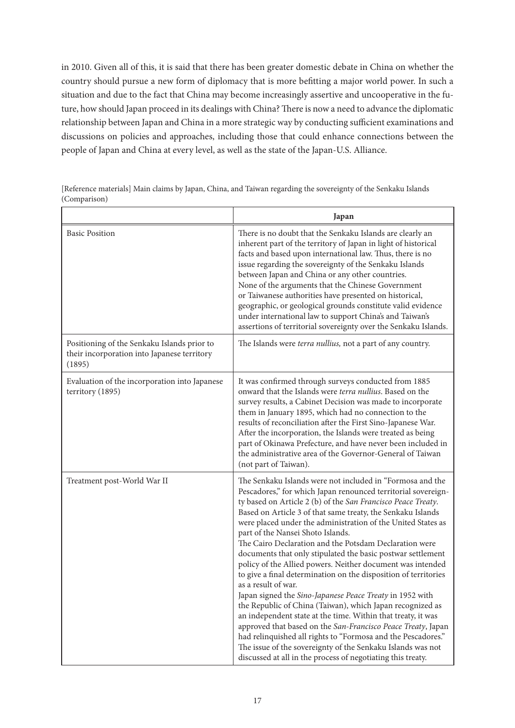in 2010. Given all of this, it is said that there has been greater domestic debate in China on whether the country should pursue a new form of diplomacy that is more befitting a major world power. In such a situation and due to the fact that China may become increasingly assertive and uncooperative in the future, how should Japan proceed in its dealings with China? There is now a need to advance the diplomatic relationship between Japan and China in a more strategic way by conducting sufficient examinations and discussions on policies and approaches, including those that could enhance connections between the people of Japan and China at every level, as well as the state of the Japan-U.S. Alliance.

|                                                                                                      | Japan                                                                                                                                                                                                                                                                                                                                                                                                                                                                                                                                                                                                                                                                                                                                                                                                                                                                                                                                                                                                                                                                                                  |
|------------------------------------------------------------------------------------------------------|--------------------------------------------------------------------------------------------------------------------------------------------------------------------------------------------------------------------------------------------------------------------------------------------------------------------------------------------------------------------------------------------------------------------------------------------------------------------------------------------------------------------------------------------------------------------------------------------------------------------------------------------------------------------------------------------------------------------------------------------------------------------------------------------------------------------------------------------------------------------------------------------------------------------------------------------------------------------------------------------------------------------------------------------------------------------------------------------------------|
| <b>Basic Position</b>                                                                                | There is no doubt that the Senkaku Islands are clearly an<br>inherent part of the territory of Japan in light of historical<br>facts and based upon international law. Thus, there is no<br>issue regarding the sovereignty of the Senkaku Islands<br>between Japan and China or any other countries.<br>None of the arguments that the Chinese Government<br>or Taiwanese authorities have presented on historical,<br>geographic, or geological grounds constitute valid evidence<br>under international law to support China's and Taiwan's<br>assertions of territorial sovereignty over the Senkaku Islands.                                                                                                                                                                                                                                                                                                                                                                                                                                                                                      |
| Positioning of the Senkaku Islands prior to<br>their incorporation into Japanese territory<br>(1895) | The Islands were terra nullius, not a part of any country.                                                                                                                                                                                                                                                                                                                                                                                                                                                                                                                                                                                                                                                                                                                                                                                                                                                                                                                                                                                                                                             |
| Evaluation of the incorporation into Japanese<br>territory (1895)                                    | It was confirmed through surveys conducted from 1885<br>onward that the Islands were terra nullius. Based on the<br>survey results, a Cabinet Decision was made to incorporate<br>them in January 1895, which had no connection to the<br>results of reconciliation after the First Sino-Japanese War.<br>After the incorporation, the Islands were treated as being<br>part of Okinawa Prefecture, and have never been included in<br>the administrative area of the Governor-General of Taiwan<br>(not part of Taiwan).                                                                                                                                                                                                                                                                                                                                                                                                                                                                                                                                                                              |
| Treatment post-World War II                                                                          | The Senkaku Islands were not included in "Formosa and the<br>Pescadores," for which Japan renounced territorial sovereign-<br>ty based on Article 2 (b) of the San Francisco Peace Treaty.<br>Based on Article 3 of that same treaty, the Senkaku Islands<br>were placed under the administration of the United States as<br>part of the Nansei Shoto Islands.<br>The Cairo Declaration and the Potsdam Declaration were<br>documents that only stipulated the basic postwar settlement<br>policy of the Allied powers. Neither document was intended<br>to give a final determination on the disposition of territories<br>as a result of war.<br>Japan signed the Sino-Japanese Peace Treaty in 1952 with<br>the Republic of China (Taiwan), which Japan recognized as<br>an independent state at the time. Within that treaty, it was<br>approved that based on the San-Francisco Peace Treaty, Japan<br>had relinquished all rights to "Formosa and the Pescadores."<br>The issue of the sovereignty of the Senkaku Islands was not<br>discussed at all in the process of negotiating this treaty. |

[Reference materials] Main claims by Japan, China, and Taiwan regarding the sovereignty of the Senkaku Islands (Comparison)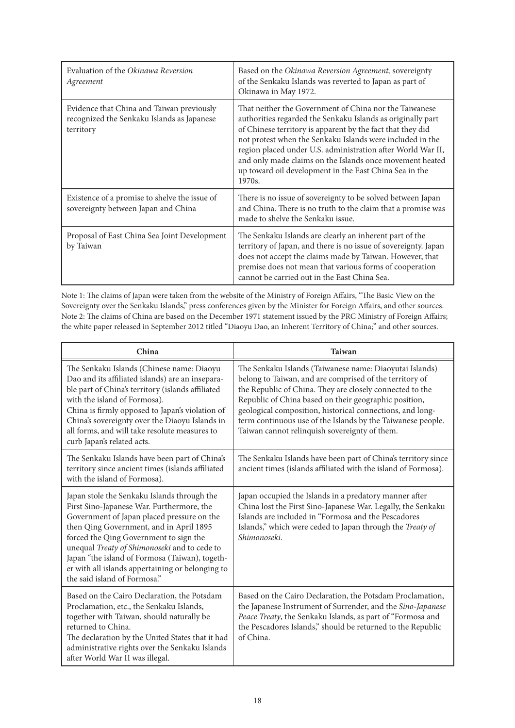| Evaluation of the Okinawa Reversion<br>Agreement                                                     | Based on the Okinawa Reversion Agreement, sovereignty<br>of the Senkaku Islands was reverted to Japan as part of<br>Okinawa in May 1972.                                                                                                                                                                                                                                                                                                        |
|------------------------------------------------------------------------------------------------------|-------------------------------------------------------------------------------------------------------------------------------------------------------------------------------------------------------------------------------------------------------------------------------------------------------------------------------------------------------------------------------------------------------------------------------------------------|
| Evidence that China and Taiwan previously<br>recognized the Senkaku Islands as Japanese<br>territory | That neither the Government of China nor the Taiwanese<br>authorities regarded the Senkaku Islands as originally part<br>of Chinese territory is apparent by the fact that they did<br>not protest when the Senkaku Islands were included in the<br>region placed under U.S. administration after World War II,<br>and only made claims on the Islands once movement heated<br>up toward oil development in the East China Sea in the<br>1970s. |
| Existence of a promise to shelve the issue of<br>sovereignty between Japan and China                 | There is no issue of sovereignty to be solved between Japan<br>and China. There is no truth to the claim that a promise was<br>made to shelve the Senkaku issue.                                                                                                                                                                                                                                                                                |
| Proposal of East China Sea Joint Development<br>by Taiwan                                            | The Senkaku Islands are clearly an inherent part of the<br>territory of Japan, and there is no issue of sovereignty. Japan<br>does not accept the claims made by Taiwan. However, that<br>premise does not mean that various forms of cooperation<br>cannot be carried out in the East China Sea.                                                                                                                                               |

Note 1: The claims of Japan were taken from the website of the Ministry of Foreign Affairs, "The Basic View on the Sovereignty over the Senkaku Islands," press conferences given by the Minister for Foreign Affairs, and other sources. Note 2: The claims of China are based on the December 1971 statement issued by the PRC Ministry of Foreign Affairs; the white paper released in September 2012 titled "Diaoyu Dao, an Inherent Territory of China;" and other sources.

| China                                                                                                                                                                                                                                                                                                                                                                                                             | <b>Taiwan</b>                                                                                                                                                                                                                                                                                                                                                                                                        |
|-------------------------------------------------------------------------------------------------------------------------------------------------------------------------------------------------------------------------------------------------------------------------------------------------------------------------------------------------------------------------------------------------------------------|----------------------------------------------------------------------------------------------------------------------------------------------------------------------------------------------------------------------------------------------------------------------------------------------------------------------------------------------------------------------------------------------------------------------|
| The Senkaku Islands (Chinese name: Diaoyu<br>Dao and its affiliated islands) are an insepara-<br>ble part of China's territory (islands affiliated<br>with the island of Formosa).<br>China is firmly opposed to Japan's violation of<br>China's sovereignty over the Diaoyu Islands in<br>all forms, and will take resolute measures to<br>curb Japan's related acts.                                            | The Senkaku Islands (Taiwanese name: Diaoyutai Islands)<br>belong to Taiwan, and are comprised of the territory of<br>the Republic of China. They are closely connected to the<br>Republic of China based on their geographic position,<br>geological composition, historical connections, and long-<br>term continuous use of the Islands by the Taiwanese people.<br>Taiwan cannot relinquish sovereignty of them. |
| The Senkaku Islands have been part of China's<br>territory since ancient times (islands affiliated<br>with the island of Formosa).                                                                                                                                                                                                                                                                                | The Senkaku Islands have been part of China's territory since<br>ancient times (islands affiliated with the island of Formosa).                                                                                                                                                                                                                                                                                      |
| Japan stole the Senkaku Islands through the<br>First Sino-Japanese War. Furthermore, the<br>Government of Japan placed pressure on the<br>then Qing Government, and in April 1895<br>forced the Qing Government to sign the<br>unequal Treaty of Shimonoseki and to cede to<br>Japan "the island of Formosa (Taiwan), togeth-<br>er with all islands appertaining or belonging to<br>the said island of Formosa." | Japan occupied the Islands in a predatory manner after<br>China lost the First Sino-Japanese War. Legally, the Senkaku<br>Islands are included in "Formosa and the Pescadores<br>Islands," which were ceded to Japan through the Treaty of<br>Shimonoseki.                                                                                                                                                           |
| Based on the Cairo Declaration, the Potsdam<br>Proclamation, etc., the Senkaku Islands,<br>together with Taiwan, should naturally be<br>returned to China.<br>The declaration by the United States that it had<br>administrative rights over the Senkaku Islands<br>after World War II was illegal.                                                                                                               | Based on the Cairo Declaration, the Potsdam Proclamation,<br>the Japanese Instrument of Surrender, and the Sino-Japanese<br>Peace Treaty, the Senkaku Islands, as part of "Formosa and<br>the Pescadores Islands," should be returned to the Republic<br>of China.                                                                                                                                                   |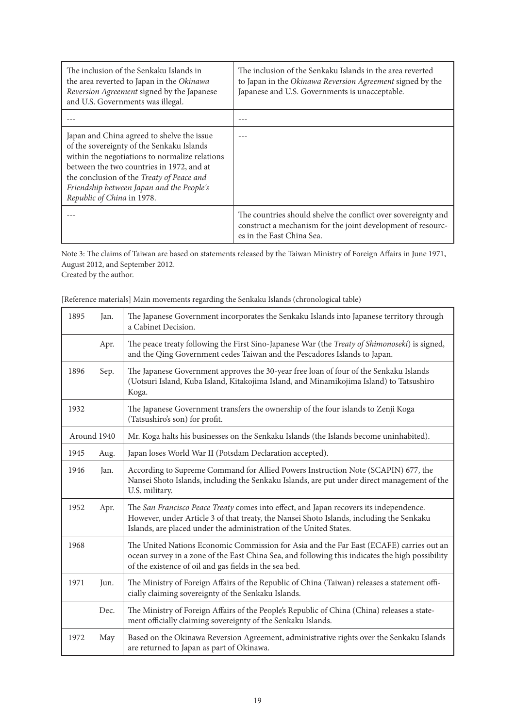| The inclusion of the Senkaku Islands in<br>the area reverted to Japan in the Okinawa<br>Reversion Agreement signed by the Japanese<br>and U.S. Governments was illegal.                                                                                                                                        | The inclusion of the Senkaku Islands in the area reverted<br>to Japan in the Okinawa Reversion Agreement signed by the<br>Japanese and U.S. Governments is unacceptable. |
|----------------------------------------------------------------------------------------------------------------------------------------------------------------------------------------------------------------------------------------------------------------------------------------------------------------|--------------------------------------------------------------------------------------------------------------------------------------------------------------------------|
|                                                                                                                                                                                                                                                                                                                |                                                                                                                                                                          |
| Japan and China agreed to shelve the issue<br>of the sovereignty of the Senkaku Islands<br>within the negotiations to normalize relations<br>between the two countries in 1972, and at<br>the conclusion of the Treaty of Peace and<br>Friendship between Japan and the People's<br>Republic of China in 1978. |                                                                                                                                                                          |
|                                                                                                                                                                                                                                                                                                                | The countries should shelve the conflict over sovereignty and<br>construct a mechanism for the joint development of resourc-<br>es in the East China Sea.                |

Note 3: The claims of Taiwan are based on statements released by the Taiwan Ministry of Foreign Affairs in June 1971, August 2012, and September 2012.

Created by the author.

| 1895 | Jan.        | The Japanese Government incorporates the Senkaku Islands into Japanese territory through<br>a Cabinet Decision.                                                                                                                                          |
|------|-------------|----------------------------------------------------------------------------------------------------------------------------------------------------------------------------------------------------------------------------------------------------------|
|      | Apr.        | The peace treaty following the First Sino-Japanese War (the Treaty of Shimonoseki) is signed,<br>and the Qing Government cedes Taiwan and the Pescadores Islands to Japan.                                                                               |
| 1896 | Sep.        | The Japanese Government approves the 30-year free loan of four of the Senkaku Islands<br>(Uotsuri Island, Kuba Island, Kitakojima Island, and Minamikojima Island) to Tatsushiro<br>Koga.                                                                |
| 1932 |             | The Japanese Government transfers the ownership of the four islands to Zenji Koga<br>(Tatsushiro's son) for profit.                                                                                                                                      |
|      | Around 1940 | Mr. Koga halts his businesses on the Senkaku Islands (the Islands become uninhabited).                                                                                                                                                                   |
| 1945 | Aug.        | Japan loses World War II (Potsdam Declaration accepted).                                                                                                                                                                                                 |
| 1946 | Jan.        | According to Supreme Command for Allied Powers Instruction Note (SCAPIN) 677, the<br>Nansei Shoto Islands, including the Senkaku Islands, are put under direct management of the<br>U.S. military.                                                       |
| 1952 | Apr.        | The San Francisco Peace Treaty comes into effect, and Japan recovers its independence.<br>However, under Article 3 of that treaty, the Nansei Shoto Islands, including the Senkaku<br>Islands, are placed under the administration of the United States. |
| 1968 |             | The United Nations Economic Commission for Asia and the Far East (ECAFE) carries out an<br>ocean survey in a zone of the East China Sea, and following this indicates the high possibility<br>of the existence of oil and gas fields in the sea bed.     |
| 1971 | Jun.        | The Ministry of Foreign Affairs of the Republic of China (Taiwan) releases a statement offi-<br>cially claiming sovereignty of the Senkaku Islands.                                                                                                      |
|      | Dec.        | The Ministry of Foreign Affairs of the People's Republic of China (China) releases a state-<br>ment officially claiming sovereignty of the Senkaku Islands.                                                                                              |
| 1972 | May         | Based on the Okinawa Reversion Agreement, administrative rights over the Senkaku Islands<br>are returned to Japan as part of Okinawa.                                                                                                                    |

[Reference materials] Main movements regarding the Senkaku Islands (chronological table)